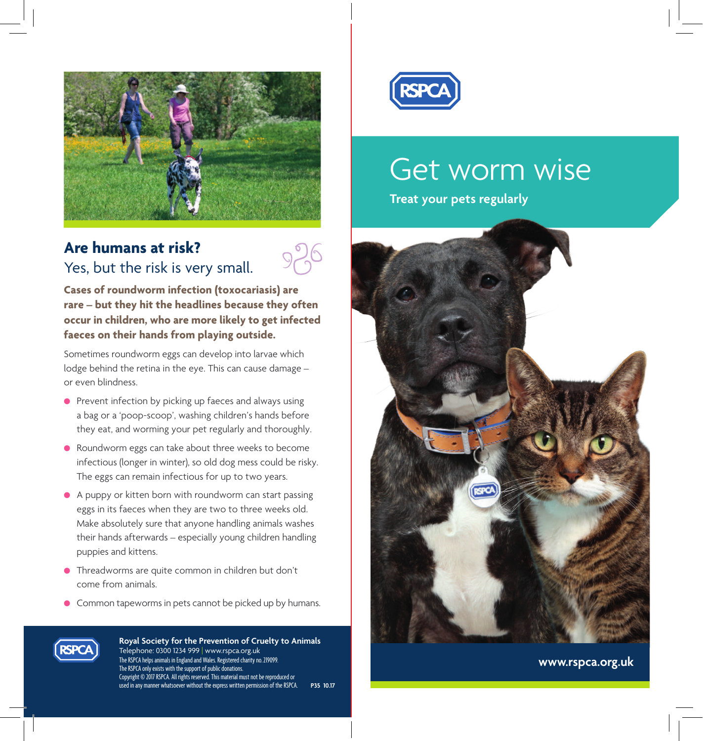

## **Are humans at risk?** Yes, but the risk is very small.



**Cases of roundworm infection (toxocariasis) are rare – but they hit the headlines because they often occur in children, who are more likely to get infected faeces on their hands from playing outside.** 

Sometimes roundworm eggs can develop into larvae which lodge behind the retina in the eye. This can cause damage – or even blindness.

- $\bullet$  Prevent infection by picking up faeces and always using a bag or a 'poop-scoop', washing children's hands before they eat, and worming your pet regularly and thoroughly.
- l Roundworm eggs can take about three weeks to become infectious (longer in winter), so old dog mess could be risky. The eggs can remain infectious for up to two years.
- $\bullet$  A puppy or kitten born with roundworm can start passing eggs in its faeces when they are two to three weeks old. Make absolutely sure that anyone handling animals washes their hands afterwards – especially young children handling puppies and kittens.
- **•** Threadworms are quite common in children but don't come from animals.
- **•** Common tapeworms in pets cannot be picked up by humans.



**Royal Society for the Prevention of Cruelty to Animals** Telephone: 0300 1234 999 | www.rspca.org.uk The RSPCA helps animals in England and Wales. Registered charity no. 219099. The RSPCA only exists with the support of public donations. Copyright © 2017 RSPCA. All rights reserved. This material must not be reproduced or used in any manner whatsoever without the express written permission of the RSPCA. **P35 10.17**



# Get worm wise

**Treat your pets regularly**



**www.rspca.org.uk**